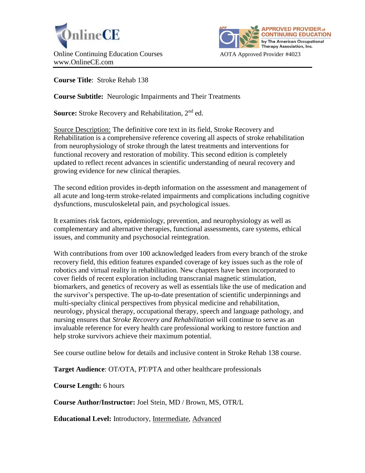



**Course Title**: Stroke Rehab 138

**Course Subtitle:** Neurologic Impairments and Their Treatments

**Source:** Stroke Recovery and Rehabilitation, 2<sup>nd</sup> ed.

Source Description: The definitive core text in its field, Stroke Recovery and Rehabilitation is a comprehensive reference covering all aspects of stroke rehabilitation from neurophysiology of stroke through the latest treatments and interventions for functional recovery and restoration of mobility. This second edition is completely updated to reflect recent advances in scientific understanding of neural recovery and growing evidence for new clinical therapies.

The second edition provides in-depth information on the assessment and management of all acute and long-term stroke-related impairments and complications including cognitive dysfunctions, musculoskeletal pain, and psychological issues.

It examines risk factors, epidemiology, prevention, and neurophysiology as well as complementary and alternative therapies, functional assessments, care systems, ethical issues, and community and psychosocial reintegration.

With contributions from over 100 acknowledged leaders from every branch of the stroke recovery field, this edition features expanded coverage of key issues such as the role of robotics and virtual reality in rehabilitation. New chapters have been incorporated to cover fields of recent exploration including transcranial magnetic stimulation, biomarkers, and genetics of recovery as well as essentials like the use of medication and the survivor's perspective. The up-to-date presentation of scientific underpinnings and multi-specialty clinical perspectives from physical medicine and rehabilitation, neurology, physical therapy, occupational therapy, speech and language pathology, and nursing ensures that *Stroke Recovery and Rehabilitation* will continue to serve as an invaluable reference for every health care professional working to restore function and help stroke survivors achieve their maximum potential.

See course outline below for details and inclusive content in Stroke Rehab 138 course.

**Target Audience**: OT/OTA, PT/PTA and other healthcare professionals

**Course Length:** 6 hours

**Course Author/Instructor:** Joel Stein, MD / Brown, MS, OTR/L

**Educational Level:** Introductory, Intermediate, Advanced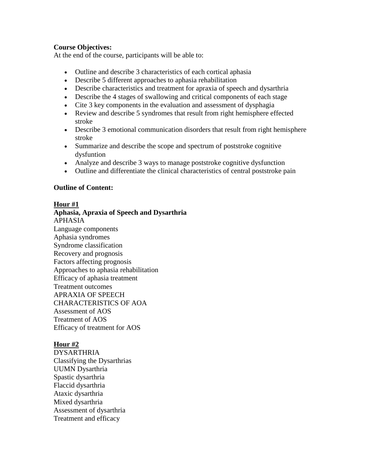# **Course Objectives:**

At the end of the course, participants will be able to:

- Outline and describe 3 characteristics of each cortical aphasia
- Describe 5 different approaches to aphasia rehabilitation
- Describe characteristics and treatment for apraxia of speech and dysarthria
- Describe the 4 stages of swallowing and critical components of each stage
- Cite 3 key components in the evaluation and assessment of dysphagia
- Review and describe 5 syndromes that result from right hemisphere effected stroke
- Describe 3 emotional communication disorders that result from right hemisphere stroke
- Summarize and describe the scope and spectrum of poststroke cognitive dysfuntion
- Analyze and describe 3 ways to manage poststroke cognitive dysfunction
- Outline and differentiate the clinical characteristics of central poststroke pain

# **Outline of Content:**

# **Hour #1**

**Aphasia, Apraxia of Speech and Dysarthria** APHASIA Language components Aphasia syndromes Syndrome classification Recovery and prognosis Factors affecting prognosis Approaches to aphasia rehabilitation Efficacy of aphasia treatment Treatment outcomes APRAXIA OF SPEECH CHARACTERISTICS OF AOA Assessment of AOS Treatment of AOS Efficacy of treatment for AOS

# **Hour #2**

**DYSARTHRIA** Classifying the Dysarthrias UUMN Dysarthria Spastic dysarthria Flaccid dysarthria Ataxic dysarthria Mixed dysarthria Assessment of dysarthria Treatment and efficacy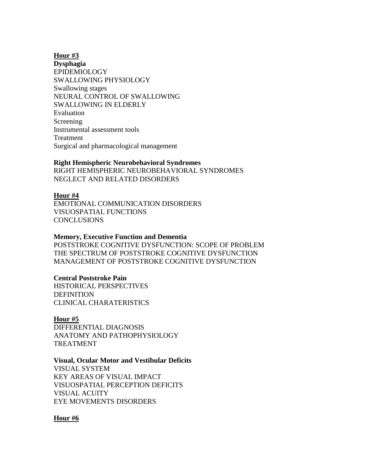### **Hour #3**

**Dysphagia** EPIDEMIOLOGY SWALLOWING PHYSIOLOGY Swallowing stages NEURAL CONTROL OF SWALLOWING SWALLOWING IN ELDERLY Evaluation Screening Instrumental assessment tools Treatment Surgical and pharmacological management

### **Right Hemispheric Neurobehavioral Syndromes**

RIGHT HEMISPHERIC NEUROBEHAVIORAL SYNDROMES NEGLECT AND RELATED DISORDERS

### **Hour #4**

EMOTIONAL COMMUNICATION DISORDERS VISUOSPATIAL FUNCTIONS **CONCLUSIONS** 

#### **Memory, Executive Function and Dementia**

POSTSTROKE COGNITIVE DYSFUNCTION: SCOPE OF PROBLEM THE SPECTRUM OF POSTSTROKE COGNITIVE DYSFUNCTION MANAGEMENT OF POSTSTROKE COGNITIVE DYSFUNCTION

### **Central Poststroke Pain**

HISTORICAL PERSPECTIVES **DEFINITION** CLINICAL CHARATERISTICS

#### **Hour #5**

DIFFERENTIAL DIAGNOSIS ANATOMY AND PATHOPHYSIOLOGY TREATMENT

#### **Visual, Ocular Motor and Vestibular Deficits**

VISUAL SYSTEM KEY AREAS OF VISUAL IMPACT VISUOSPATIAL PERCEPTION DEFICITS VISUAL ACUITY EYE MOVEMENTS DISORDERS

### **Hour #6**